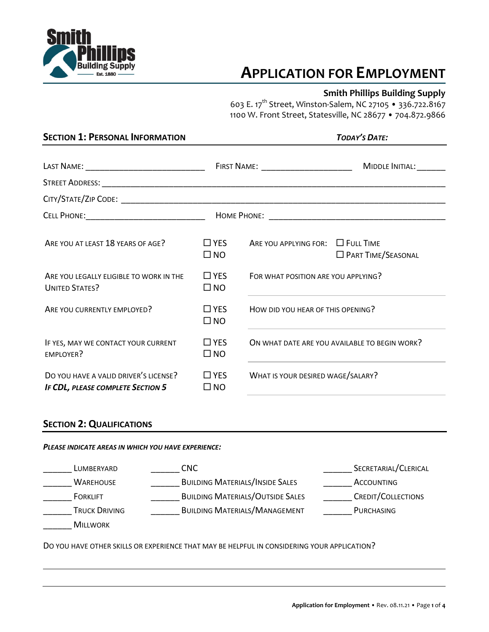

# **APPLICATION FOR EMPLOYMENT**

### **Smith Phillips Building Supply**

603 E. 17th Street, Winston-Salem, NC 27105 • 336.722.8167 1100 W. Front Street, Statesville, NC 28677 • 704.872.9866

| <b>SECTION 1: PERSONAL INFORMATION</b>                                     |                            | <b>TODAY'S DATE:</b>                                                                                                           |                                               |
|----------------------------------------------------------------------------|----------------------------|--------------------------------------------------------------------------------------------------------------------------------|-----------------------------------------------|
|                                                                            |                            |                                                                                                                                |                                               |
|                                                                            |                            |                                                                                                                                |                                               |
|                                                                            |                            |                                                                                                                                |                                               |
|                                                                            |                            |                                                                                                                                |                                               |
| ARE YOU AT LEAST 18 YEARS OF AGE?                                          | $\Box$ YES<br>$\square$ NO | ARE YOU APPLYING FOR: $\Box$ FULL TIME                                                                                         | <b>D</b> PART TIME/SEASONAL                   |
| ARE YOU LEGALLY ELIGIBLE TO WORK IN THE<br><b>UNITED STATES?</b>           | $\Box$ YES<br>$\square$ NO | FOR WHAT POSITION ARE YOU APPLYING?                                                                                            |                                               |
| ARE YOU CURRENTLY EMPLOYED?                                                | $\Box$ YES<br>$\square$ NO | HOW DID YOU HEAR OF THIS OPENING?<br>the control of the control of the control of the control of the control of the control of |                                               |
| IF YES, MAY WE CONTACT YOUR CURRENT<br>EMPLOYER?                           | $\Box$ YES<br>$\square$ NO |                                                                                                                                | ON WHAT DATE ARE YOU AVAILABLE TO BEGIN WORK? |
| DO YOU HAVE A VALID DRIVER'S LICENSE?<br>IF CDL, PLEASE COMPLETE SECTION 5 | $\Box$ YES<br>$\square$ NO | WHAT IS YOUR DESIRED WAGE/SALARY?                                                                                              |                                               |

## **SECTION 2: QUALIFICATIONS**

#### *PLEASE INDICATE AREAS IN WHICH YOU HAVE EXPERIENCE:*

| LUMBERYARD           | CNC.                                    | SECRETARIAL/CLERICAL |
|----------------------|-----------------------------------------|----------------------|
| <b>WAREHOUSE</b>     | <b>BUILDING MATERIALS/INSIDE SALES</b>  | ACCOUNTING           |
| <b>FORKLIFT</b>      | <b>BUILDING MATERIALS/OUTSIDE SALES</b> | CREDIT/COLLECTIONS   |
| <b>TRUCK DRIVING</b> | <b>BUILDING MATERIALS/MANAGEMENT</b>    | <b>PURCHASING</b>    |
| <b>MILLWORK</b>      |                                         |                      |

DO YOU HAVE OTHER SKILLS OR EXPERIENCE THAT MAY BE HELPFUL IN CONSIDERING YOUR APPLICATION?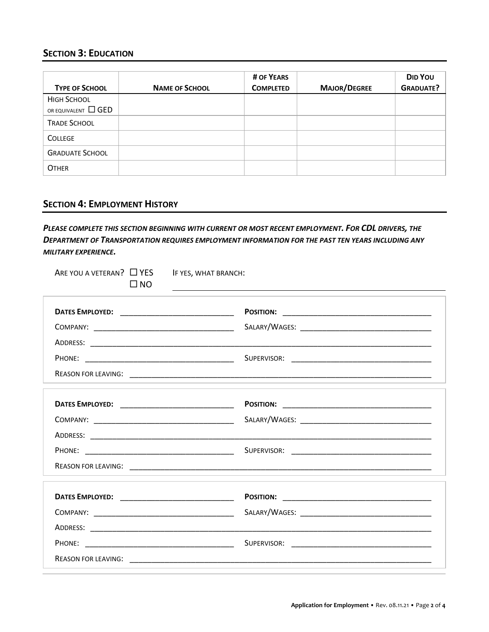## **SECTION 3: EDUCATION**

| <b>TYPE OF SCHOOL</b>    | <b>NAME OF SCHOOL</b> | # OF YEARS<br><b>COMPLETED</b> | <b>MAJOR/DEGREE</b> | DID YOU<br><b>GRADUATE?</b> |
|--------------------------|-----------------------|--------------------------------|---------------------|-----------------------------|
| <b>HIGH SCHOOL</b>       |                       |                                |                     |                             |
| OR EQUIVALENT $\Box$ GED |                       |                                |                     |                             |
| <b>TRADE SCHOOL</b>      |                       |                                |                     |                             |
| <b>COLLEGE</b>           |                       |                                |                     |                             |
| <b>GRADUATE SCHOOL</b>   |                       |                                |                     |                             |
| <b>OTHER</b>             |                       |                                |                     |                             |

# **SECTION 4: EMPLOYMENT HISTORY**

*PLEASE COMPLETE THIS SECTION BEGINNING WITH CURRENT OR MOST RECENT EMPLOYMENT. FOR CDL DRIVERS, THE DEPARTMENT OF TRANSPORTATION REQUIRES EMPLOYMENT INFORMATION FOR THE PAST TEN YEARS INCLUDING ANY MILITARY EXPERIENCE.*

| ARE YOU A VETERAN? □ YES<br>$\square$ NO | IF YES, WHAT BRANCH: |
|------------------------------------------|----------------------|
|                                          |                      |
|                                          |                      |
|                                          |                      |
|                                          |                      |
|                                          |                      |
|                                          |                      |
|                                          |                      |
|                                          |                      |
|                                          |                      |
|                                          |                      |
|                                          |                      |
|                                          |                      |
|                                          |                      |
|                                          |                      |
|                                          |                      |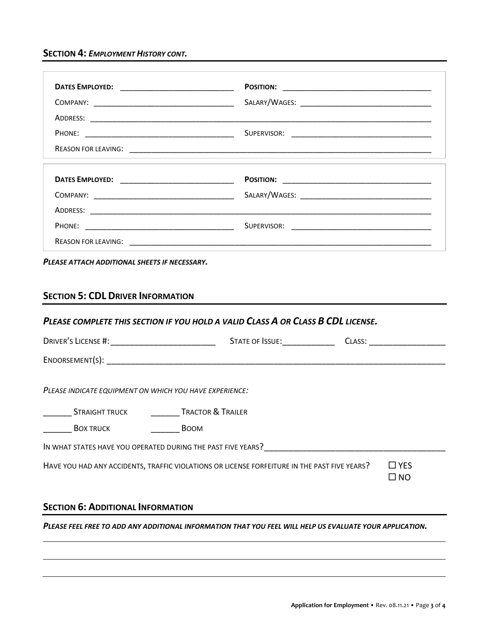**SECTION 4:** *EMPLOYMENT HISTORY CONT.*

| <b>SECTION 5: CDL DRIVER INFORMATION</b>                        | PLEASE COMPLETE THIS SECTION IF YOU HOLD A VALID CLASS A OR CLASS B CDL LICENSE.             |                            |
|-----------------------------------------------------------------|----------------------------------------------------------------------------------------------|----------------------------|
|                                                                 |                                                                                              |                            |
|                                                                 |                                                                                              |                            |
|                                                                 |                                                                                              |                            |
| ___________ STRAIGHT TRUCK __________________ TRACTOR & TRAILER |                                                                                              |                            |
|                                                                 |                                                                                              |                            |
| IN WHAT STATES HAVE YOU OPERATED DURING THE PAST FIVE YEARS?    |                                                                                              |                            |
| PLEASE INDICATE EQUIPMENT ON WHICH YOU HAVE EXPERIENCE:         | HAVE YOU HAD ANY ACCIDENTS, TRAFFIC VIOLATIONS OR LICENSE FORFEITURE IN THE PAST FIVE YEARS? | $\Box$ YES<br>$\square$ NO |
| <b>SECTION 6: ADDITIONAL INFORMATION</b>                        |                                                                                              |                            |